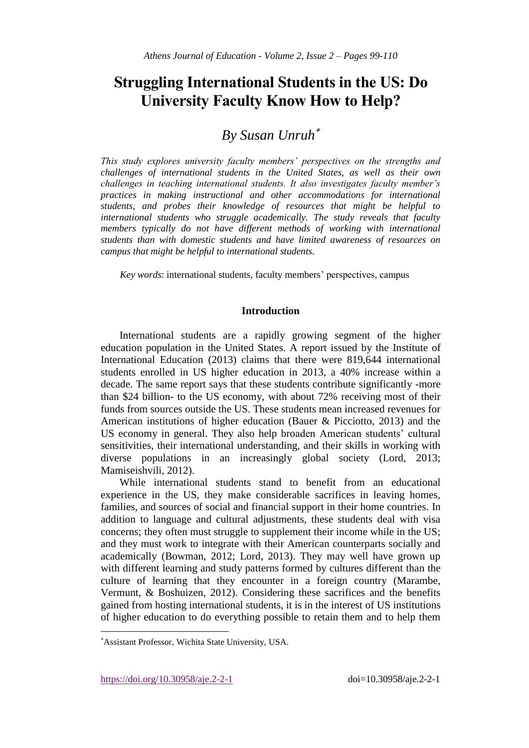# **Struggling International Students in the US: Do University Faculty Know How to Help?**

# *By Susan Unruh*

*This study explores university faculty members' perspectives on the strengths and challenges of international students in the United States, as well as their own challenges in teaching international students. It also investigates faculty member's practices in making instructional and other accommodations for international students, and probes their knowledge of resources that might be helpful to international students who struggle academically. The study reveals that faculty members typically do not have different methods of working with international students than with domestic students and have limited awareness of resources on campus that might be helpful to international students.*

*Key words*: international students, faculty members' perspectives, campus

# **Introduction**

International students are a rapidly growing segment of the higher education population in the United States. A report issued by the Institute of International Education (2013) claims that there were 819,644 international students enrolled in US higher education in 2013, a 40% increase within a decade. The same report says that these students contribute significantly -more than \$24 billion- to the US economy, with about 72% receiving most of their funds from sources outside the US. These students mean increased revenues for American institutions of higher education (Bauer & Picciotto, 2013) and the US economy in general. They also help broaden American students' cultural sensitivities, their international understanding, and their skills in working with diverse populations in an increasingly global society (Lord, 2013; Mamiseishvili, 2012).

While international students stand to benefit from an educational experience in the US, they make considerable sacrifices in leaving homes, families, and sources of social and financial support in their home countries. In addition to language and cultural adjustments, these students deal with visa concerns; they often must struggle to supplement their income while in the US; and they must work to integrate with their American counterparts socially and academically (Bowman, 2012; Lord, 2013). They may well have grown up with different learning and study patterns formed by cultures different than the culture of learning that they encounter in a foreign country (Marambe, Vermunt, & Boshuizen, 2012). Considering these sacrifices and the benefits gained from hosting international students, it is in the interest of US institutions of higher education to do everything possible to retain them and to help them

https://doi.org/10.30958/aje.2-2-1 doi=10.30958/aje.2-2-1

l

Assistant Professor, Wichita State University, USA.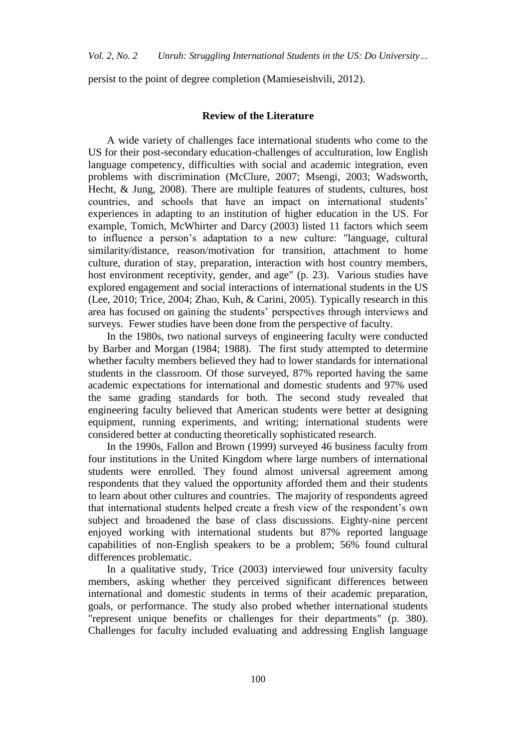persist to the point of degree completion (Mamieseishvili, 2012).

### **Review of the Literature**

A wide variety of challenges face international students who come to the US for their post-secondary education-challenges of acculturation, low English language competency, difficulties with social and academic integration, even problems with discrimination (McClure, 2007; Msengi, 2003; Wadsworth, Hecht, & Jung, 2008). There are multiple features of students, cultures, host countries, and schools that have an impact on international students' experiences in adapting to an institution of higher education in the US. For example, Tomich, McWhirter and Darcy (2003) listed 11 factors which seem to influence a person's adaptation to a new culture: "language, cultural similarity/distance, reason/motivation for transition, attachment to home culture, duration of stay, preparation, interaction with host country members, host environment receptivity, gender, and age" (p. 23). Various studies have explored engagement and social interactions of international students in the US (Lee, 2010; Trice, 2004; Zhao, Kuh, & Carini, 2005). Typically research in this area has focused on gaining the students' perspectives through interviews and surveys. Fewer studies have been done from the perspective of faculty.

In the 1980s, two national surveys of engineering faculty were conducted by Barber and Morgan (1984; 1988). The first study attempted to determine whether faculty members believed they had to lower standards for international students in the classroom. Of those surveyed, 87% reported having the same academic expectations for international and domestic students and 97% used the same grading standards for both. The second study revealed that engineering faculty believed that American students were better at designing equipment, running experiments, and writing; international students were considered better at conducting theoretically sophisticated research.

In the 1990s, Fallon and Brown (1999) surveyed 46 business faculty from four institutions in the United Kingdom where large numbers of international students were enrolled. They found almost universal agreement among respondents that they valued the opportunity afforded them and their students to learn about other cultures and countries. The majority of respondents agreed that international students helped create a fresh view of the respondent's own subject and broadened the base of class discussions. Eighty-nine percent enjoyed working with international students but 87% reported language capabilities of non-English speakers to be a problem; 56% found cultural differences problematic.

In a qualitative study, Trice (2003) interviewed four university faculty members, asking whether they perceived significant differences between international and domestic students in terms of their academic preparation, goals, or performance. The study also probed whether international students "represent unique benefits or challenges for their departments" (p. 380). Challenges for faculty included evaluating and addressing English language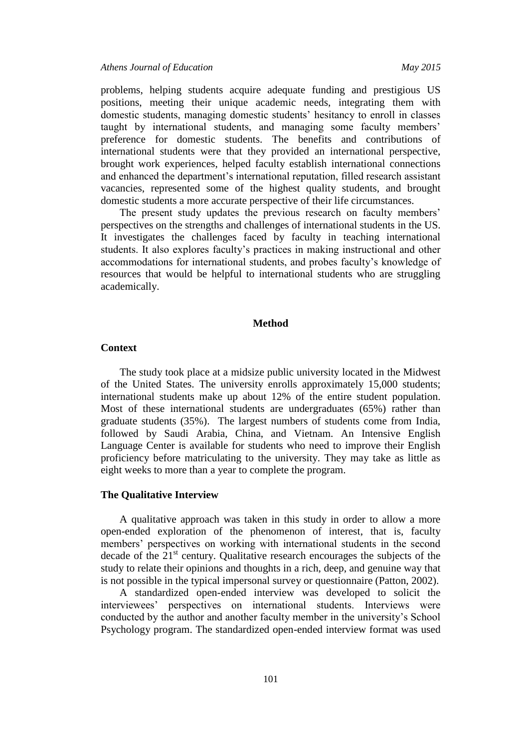*Athens Journal of Education May 2015*

problems, helping students acquire adequate funding and prestigious US positions, meeting their unique academic needs, integrating them with domestic students, managing domestic students' hesitancy to enroll in classes taught by international students, and managing some faculty members' preference for domestic students. The benefits and contributions of international students were that they provided an international perspective, brought work experiences, helped faculty establish international connections and enhanced the department's international reputation, filled research assistant vacancies, represented some of the highest quality students, and brought domestic students a more accurate perspective of their life circumstances.

The present study updates the previous research on faculty members' perspectives on the strengths and challenges of international students in the US. It investigates the challenges faced by faculty in teaching international students. It also explores faculty's practices in making instructional and other accommodations for international students, and probes faculty's knowledge of resources that would be helpful to international students who are struggling academically.

#### **Method**

## **Context**

The study took place at a midsize public university located in the Midwest of the United States. The university enrolls approximately 15,000 students; international students make up about 12% of the entire student population. Most of these international students are undergraduates (65%) rather than graduate students (35%). The largest numbers of students come from India, followed by Saudi Arabia, China, and Vietnam. An Intensive English Language Center is available for students who need to improve their English proficiency before matriculating to the university. They may take as little as eight weeks to more than a year to complete the program.

## **The Qualitative Interview**

A qualitative approach was taken in this study in order to allow a more open-ended exploration of the phenomenon of interest, that is, faculty members' perspectives on working with international students in the second decade of the  $21<sup>st</sup>$  century. Qualitative research encourages the subjects of the study to relate their opinions and thoughts in a rich, deep, and genuine way that is not possible in the typical impersonal survey or questionnaire (Patton, 2002).

A standardized open-ended interview was developed to solicit the interviewees' perspectives on international students. Interviews were conducted by the author and another faculty member in the university's School Psychology program. The standardized open-ended interview format was used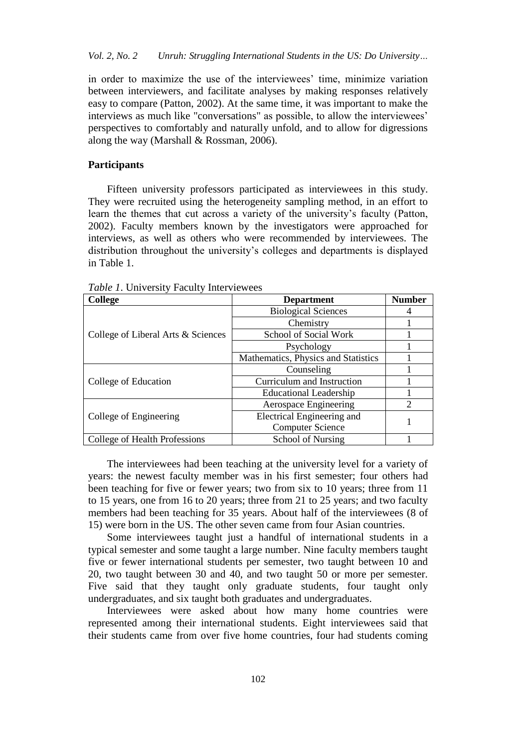in order to maximize the use of the interviewees' time, minimize variation between interviewers, and facilitate analyses by making responses relatively easy to compare (Patton, 2002). At the same time, it was important to make the interviews as much like "conversations" as possible, to allow the interviewees' perspectives to comfortably and naturally unfold, and to allow for digressions along the way (Marshall & Rossman, 2006).

## **Participants**

Fifteen university professors participated as interviewees in this study. They were recruited using the heterogeneity sampling method, in an effort to learn the themes that cut across a variety of the university's faculty (Patton, 2002). Faculty members known by the investigators were approached for interviews, as well as others who were recommended by interviewees. The distribution throughout the university's colleges and departments is displayed in Table 1.

| <b>College</b>                     | <b>Department</b>                   | <b>Number</b> |
|------------------------------------|-------------------------------------|---------------|
| College of Liberal Arts & Sciences | <b>Biological Sciences</b>          |               |
|                                    | Chemistry                           |               |
|                                    | School of Social Work               |               |
|                                    | Psychology                          |               |
|                                    | Mathematics, Physics and Statistics |               |
| College of Education               | Counseling                          |               |
|                                    | Curriculum and Instruction          |               |
|                                    | <b>Educational Leadership</b>       |               |
| College of Engineering             | Aerospace Engineering               | $\mathcal{D}$ |
|                                    | Electrical Engineering and          |               |
|                                    | <b>Computer Science</b>             |               |
| College of Health Professions      | School of Nursing                   |               |

*Table 1*. University Faculty Interviewees

The interviewees had been teaching at the university level for a variety of years: the newest faculty member was in his first semester; four others had been teaching for five or fewer years; two from six to 10 years; three from 11 to 15 years, one from 16 to 20 years; three from 21 to 25 years; and two faculty members had been teaching for 35 years. About half of the interviewees (8 of 15) were born in the US. The other seven came from four Asian countries.

Some interviewees taught just a handful of international students in a typical semester and some taught a large number. Nine faculty members taught five or fewer international students per semester, two taught between 10 and 20, two taught between 30 and 40, and two taught 50 or more per semester. Five said that they taught only graduate students, four taught only undergraduates, and six taught both graduates and undergraduates.

Interviewees were asked about how many home countries were represented among their international students. Eight interviewees said that their students came from over five home countries, four had students coming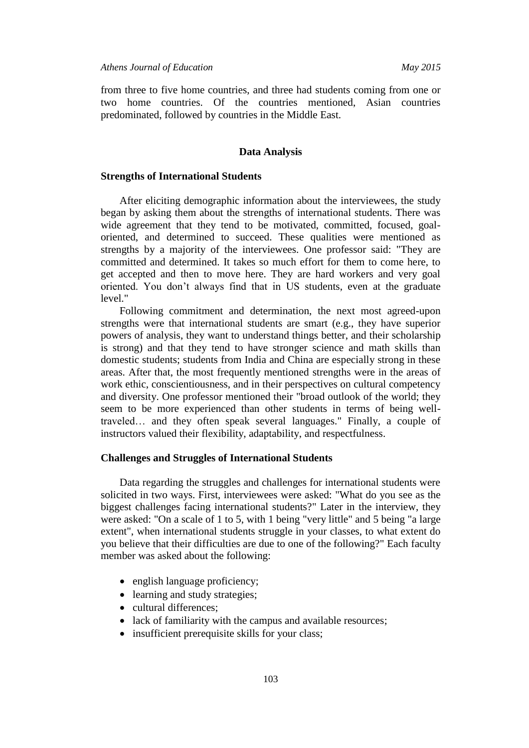from three to five home countries, and three had students coming from one or two home countries. Of the countries mentioned, Asian countries predominated, followed by countries in the Middle East.

### **Data Analysis**

### **Strengths of International Students**

After eliciting demographic information about the interviewees, the study began by asking them about the strengths of international students. There was wide agreement that they tend to be motivated, committed, focused, goaloriented, and determined to succeed. These qualities were mentioned as strengths by a majority of the interviewees. One professor said: "They are committed and determined. It takes so much effort for them to come here, to get accepted and then to move here. They are hard workers and very goal oriented. You don't always find that in US students, even at the graduate level."

Following commitment and determination, the next most agreed-upon strengths were that international students are smart (e.g., they have superior powers of analysis, they want to understand things better, and their scholarship is strong) and that they tend to have stronger science and math skills than domestic students; students from India and China are especially strong in these areas. After that, the most frequently mentioned strengths were in the areas of work ethic, conscientiousness, and in their perspectives on cultural competency and diversity. One professor mentioned their "broad outlook of the world; they seem to be more experienced than other students in terms of being welltraveled… and they often speak several languages." Finally, a couple of instructors valued their flexibility, adaptability, and respectfulness.

### **Challenges and Struggles of International Students**

Data regarding the struggles and challenges for international students were solicited in two ways. First, interviewees were asked: "What do you see as the biggest challenges facing international students?" Later in the interview, they were asked: "On a scale of 1 to 5, with 1 being "very little" and 5 being "a large extent", when international students struggle in your classes, to what extent do you believe that their difficulties are due to one of the following?" Each faculty member was asked about the following:

- english language proficiency;
- learning and study strategies;
- cultural differences;
- lack of familiarity with the campus and available resources;
- insufficient prerequisite skills for your class;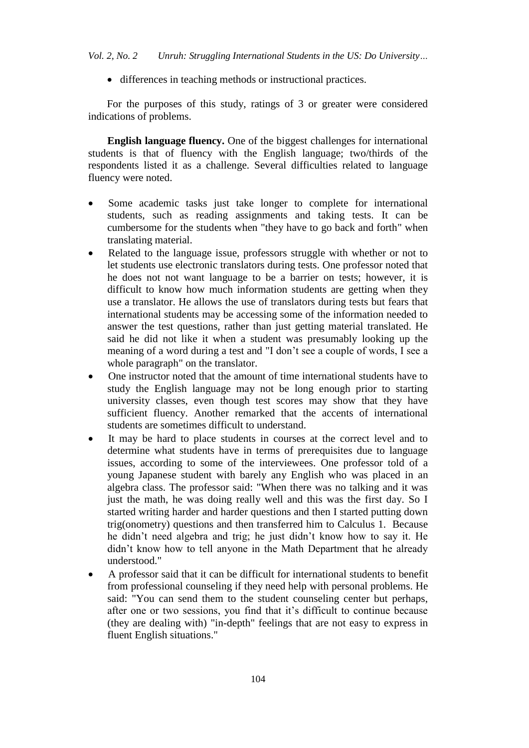• differences in teaching methods or instructional practices.

For the purposes of this study, ratings of 3 or greater were considered indications of problems.

**English language fluency.** One of the biggest challenges for international students is that of fluency with the English language; two/thirds of the respondents listed it as a challenge. Several difficulties related to language fluency were noted.

- Some academic tasks just take longer to complete for international students, such as reading assignments and taking tests. It can be cumbersome for the students when "they have to go back and forth" when translating material.
- Related to the language issue, professors struggle with whether or not to let students use electronic translators during tests. One professor noted that he does not not want language to be a barrier on tests; however, it is difficult to know how much information students are getting when they use a translator. He allows the use of translators during tests but fears that international students may be accessing some of the information needed to answer the test questions, rather than just getting material translated. He said he did not like it when a student was presumably looking up the meaning of a word during a test and "I don't see a couple of words, I see a whole paragraph" on the translator.
- One instructor noted that the amount of time international students have to study the English language may not be long enough prior to starting university classes, even though test scores may show that they have sufficient fluency. Another remarked that the accents of international students are sometimes difficult to understand.
- It may be hard to place students in courses at the correct level and to determine what students have in terms of prerequisites due to language issues, according to some of the interviewees. One professor told of a young Japanese student with barely any English who was placed in an algebra class. The professor said: "When there was no talking and it was just the math, he was doing really well and this was the first day. So I started writing harder and harder questions and then I started putting down trig(onometry) questions and then transferred him to Calculus 1. Because he didn't need algebra and trig; he just didn't know how to say it. He didn't know how to tell anyone in the Math Department that he already understood."
- A professor said that it can be difficult for international students to benefit from professional counseling if they need help with personal problems. He said: "You can send them to the student counseling center but perhaps, after one or two sessions, you find that it's difficult to continue because (they are dealing with) "in-depth" feelings that are not easy to express in fluent English situations."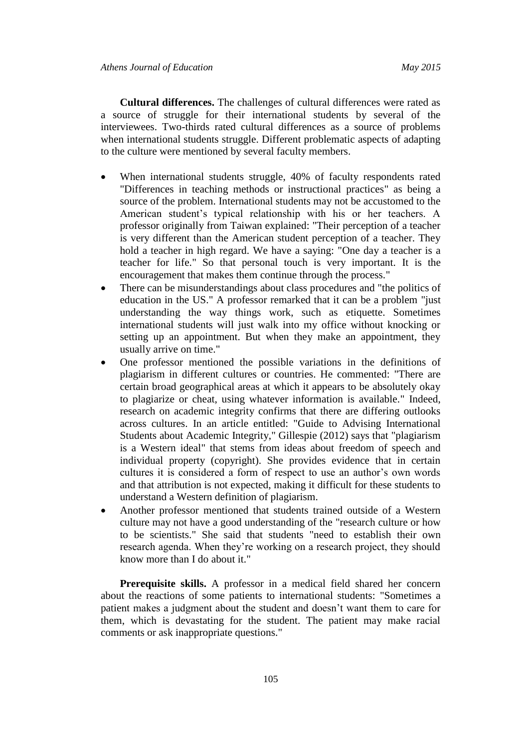**Cultural differences.** The challenges of cultural differences were rated as a source of struggle for their international students by several of the interviewees. Two-thirds rated cultural differences as a source of problems when international students struggle. Different problematic aspects of adapting to the culture were mentioned by several faculty members.

- When international students struggle, 40% of faculty respondents rated "Differences in teaching methods or instructional practices" as being a source of the problem. International students may not be accustomed to the American student's typical relationship with his or her teachers. A professor originally from Taiwan explained: "Their perception of a teacher is very different than the American student perception of a teacher. They hold a teacher in high regard. We have a saying: "One day a teacher is a teacher for life." So that personal touch is very important. It is the encouragement that makes them continue through the process."
- There can be misunderstandings about class procedures and "the politics of education in the US." A professor remarked that it can be a problem "just understanding the way things work, such as etiquette. Sometimes international students will just walk into my office without knocking or setting up an appointment. But when they make an appointment, they usually arrive on time."
- One professor mentioned the possible variations in the definitions of plagiarism in different cultures or countries. He commented: "There are certain broad geographical areas at which it appears to be absolutely okay to plagiarize or cheat, using whatever information is available." Indeed, research on academic integrity confirms that there are differing outlooks across cultures. In an article entitled: "Guide to Advising International Students about Academic Integrity," Gillespie (2012) says that "plagiarism is a Western ideal" that stems from ideas about freedom of speech and individual property (copyright). She provides evidence that in certain cultures it is considered a form of respect to use an author's own words and that attribution is not expected, making it difficult for these students to understand a Western definition of plagiarism.
- Another professor mentioned that students trained outside of a Western culture may not have a good understanding of the "research culture or how to be scientists." She said that students "need to establish their own research agenda. When they're working on a research project, they should know more than I do about it."

**Prerequisite skills.** A professor in a medical field shared her concern about the reactions of some patients to international students: "Sometimes a patient makes a judgment about the student and doesn't want them to care for them, which is devastating for the student. The patient may make racial comments or ask inappropriate questions."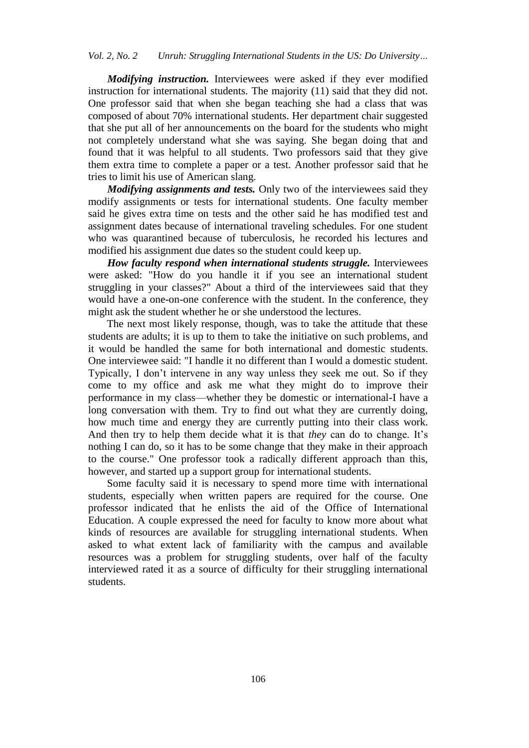*Modifying instruction.* Interviewees were asked if they ever modified instruction for international students. The majority (11) said that they did not. One professor said that when she began teaching she had a class that was composed of about 70% international students. Her department chair suggested that she put all of her announcements on the board for the students who might not completely understand what she was saying. She began doing that and found that it was helpful to all students. Two professors said that they give them extra time to complete a paper or a test. Another professor said that he tries to limit his use of American slang.

*Modifying assignments and tests.* Only two of the interviewees said they modify assignments or tests for international students. One faculty member said he gives extra time on tests and the other said he has modified test and assignment dates because of international traveling schedules. For one student who was quarantined because of tuberculosis, he recorded his lectures and modified his assignment due dates so the student could keep up.

*How faculty respond when international students struggle.* Interviewees were asked: "How do you handle it if you see an international student struggling in your classes?" About a third of the interviewees said that they would have a one-on-one conference with the student. In the conference, they might ask the student whether he or she understood the lectures.

The next most likely response, though, was to take the attitude that these students are adults; it is up to them to take the initiative on such problems, and it would be handled the same for both international and domestic students. One interviewee said: "I handle it no different than I would a domestic student. Typically, I don't intervene in any way unless they seek me out. So if they come to my office and ask me what they might do to improve their performance in my class—whether they be domestic or international-I have a long conversation with them. Try to find out what they are currently doing, how much time and energy they are currently putting into their class work. And then try to help them decide what it is that *they* can do to change. It's nothing I can do, so it has to be some change that they make in their approach to the course." One professor took a radically different approach than this, however, and started up a support group for international students.

Some faculty said it is necessary to spend more time with international students, especially when written papers are required for the course. One professor indicated that he enlists the aid of the Office of International Education. A couple expressed the need for faculty to know more about what kinds of resources are available for struggling international students. When asked to what extent lack of familiarity with the campus and available resources was a problem for struggling students, over half of the faculty interviewed rated it as a source of difficulty for their struggling international students.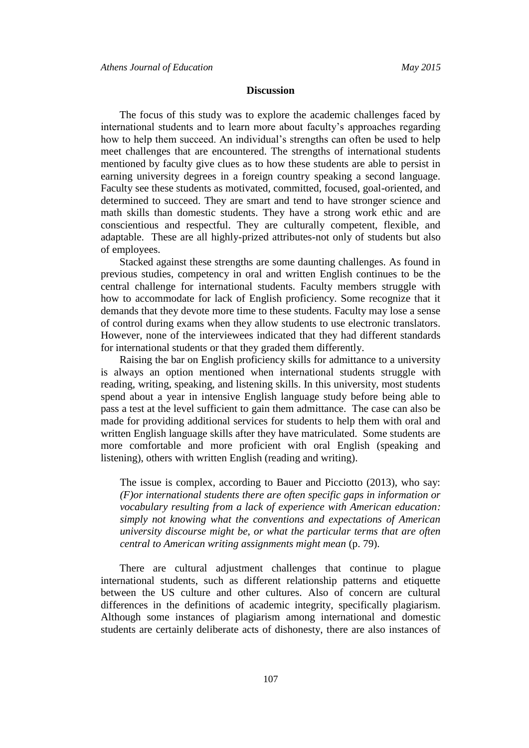## **Discussion**

The focus of this study was to explore the academic challenges faced by international students and to learn more about faculty's approaches regarding how to help them succeed. An individual's strengths can often be used to help meet challenges that are encountered. The strengths of international students mentioned by faculty give clues as to how these students are able to persist in earning university degrees in a foreign country speaking a second language. Faculty see these students as motivated, committed, focused, goal-oriented, and determined to succeed. They are smart and tend to have stronger science and math skills than domestic students. They have a strong work ethic and are conscientious and respectful. They are culturally competent, flexible, and adaptable. These are all highly-prized attributes-not only of students but also of employees.

Stacked against these strengths are some daunting challenges. As found in previous studies, competency in oral and written English continues to be the central challenge for international students. Faculty members struggle with how to accommodate for lack of English proficiency. Some recognize that it demands that they devote more time to these students. Faculty may lose a sense of control during exams when they allow students to use electronic translators. However, none of the interviewees indicated that they had different standards for international students or that they graded them differently.

Raising the bar on English proficiency skills for admittance to a university is always an option mentioned when international students struggle with reading, writing, speaking, and listening skills. In this university, most students spend about a year in intensive English language study before being able to pass a test at the level sufficient to gain them admittance. The case can also be made for providing additional services for students to help them with oral and written English language skills after they have matriculated. Some students are more comfortable and more proficient with oral English (speaking and listening), others with written English (reading and writing).

The issue is complex, according to Bauer and Picciotto (2013), who say: *(F)or international students there are often specific gaps in information or vocabulary resulting from a lack of experience with American education: simply not knowing what the conventions and expectations of American university discourse might be, or what the particular terms that are often central to American writing assignments might mean* (p. 79).

There are cultural adjustment challenges that continue to plague international students, such as different relationship patterns and etiquette between the US culture and other cultures. Also of concern are cultural differences in the definitions of academic integrity, specifically plagiarism. Although some instances of plagiarism among international and domestic students are certainly deliberate acts of dishonesty, there are also instances of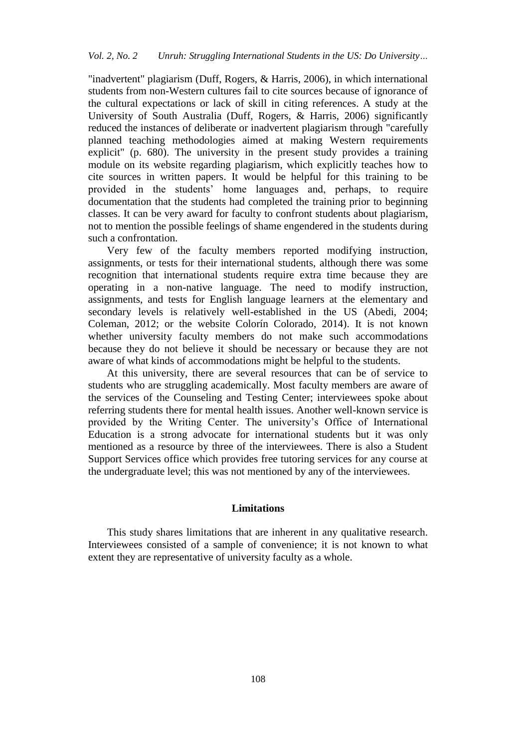"inadvertent" plagiarism (Duff, Rogers, & Harris, 2006), in which international students from non-Western cultures fail to cite sources because of ignorance of the cultural expectations or lack of skill in citing references. A study at the University of South Australia (Duff, Rogers, & Harris, 2006) significantly reduced the instances of deliberate or inadvertent plagiarism through "carefully planned teaching methodologies aimed at making Western requirements explicit" (p. 680). The university in the present study provides a training module on its website regarding plagiarism, which explicitly teaches how to cite sources in written papers. It would be helpful for this training to be provided in the students' home languages and, perhaps, to require documentation that the students had completed the training prior to beginning classes. It can be very award for faculty to confront students about plagiarism, not to mention the possible feelings of shame engendered in the students during such a confrontation.

Very few of the faculty members reported modifying instruction, assignments, or tests for their international students, although there was some recognition that international students require extra time because they are operating in a non-native language. The need to modify instruction, assignments, and tests for English language learners at the elementary and secondary levels is relatively well-established in the US (Abedi, 2004; Coleman, 2012; or the website Colorín Colorado, 2014). It is not known whether university faculty members do not make such accommodations because they do not believe it should be necessary or because they are not aware of what kinds of accommodations might be helpful to the students.

At this university, there are several resources that can be of service to students who are struggling academically. Most faculty members are aware of the services of the Counseling and Testing Center; interviewees spoke about referring students there for mental health issues. Another well-known service is provided by the Writing Center. The university's Office of International Education is a strong advocate for international students but it was only mentioned as a resource by three of the interviewees. There is also a Student Support Services office which provides free tutoring services for any course at the undergraduate level; this was not mentioned by any of the interviewees.

#### **Limitations**

This study shares limitations that are inherent in any qualitative research. Interviewees consisted of a sample of convenience; it is not known to what extent they are representative of university faculty as a whole.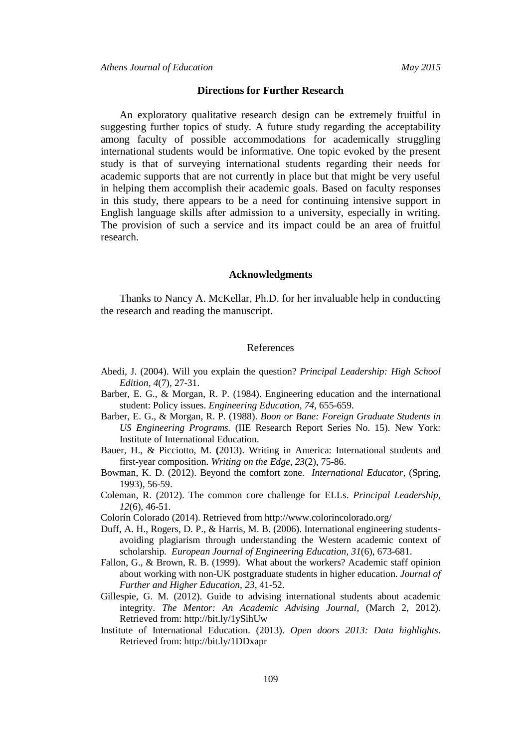## **Directions for Further Research**

An exploratory qualitative research design can be extremely fruitful in suggesting further topics of study. A future study regarding the acceptability among faculty of possible accommodations for academically struggling international students would be informative. One topic evoked by the present study is that of surveying international students regarding their needs for academic supports that are not currently in place but that might be very useful in helping them accomplish their academic goals. Based on faculty responses in this study, there appears to be a need for continuing intensive support in English language skills after admission to a university, especially in writing. The provision of such a service and its impact could be an area of fruitful research.

#### **Acknowledgments**

Thanks to Nancy A. McKellar, Ph.D. for her invaluable help in conducting the research and reading the manuscript.

## References

- Abedi, J. (2004). Will you explain the question? *Principal Leadership: High School Edition, 4*(7), 27-31.
- Barber, E. G., & Morgan, R. P. (1984). Engineering education and the international student: Policy issues. *Engineering Education, 74*, 655-659.
- Barber, E. G., & Morgan, R. P. (1988). *Boon or Bane: Foreign Graduate Students in US Engineering Programs.* (IIE Research Report Series No. 15). New York: Institute of International Education.
- Bauer, H., & Picciotto, M. **(**2013). Writing in America: International students and first-year composition. *Writing on the Edge, 23*(2), 75-86.
- Bowman, K. D. (2012). Beyond the comfort zone. *International Educator,* (Spring, 1993), 56-59.
- Coleman, R. (2012). The common core challenge for ELLs. *Principal Leadership, 12*(6), 46-51.
- Colorín Colorado (2014). Retrieved from http://www.colorincolorado.org/
- Duff, A. H., Rogers, D. P., & Harris, M. B. (2006). International engineering studentsavoiding plagiarism through understanding the Western academic context of scholarship. *European Journal of Engineering Education, 31*(6), 673-681.
- Fallon, G., & Brown, R. B. (1999). What about the workers? Academic staff opinion about working with non-UK postgraduate students in higher education. *Journal of Further and Higher Education, 23*, 41-52.
- Gillespie, G. M. (2012). Guide to advising international students about academic integrity. *The Mentor: An Academic Advising Journal,* (March 2, 2012). Retrieved from: http://bit.ly/1ySihUw
- Institute of International Education. (2013). *Open doors 2013: Data highlights*. Retrieved from: http://bit.ly/1DDxapr